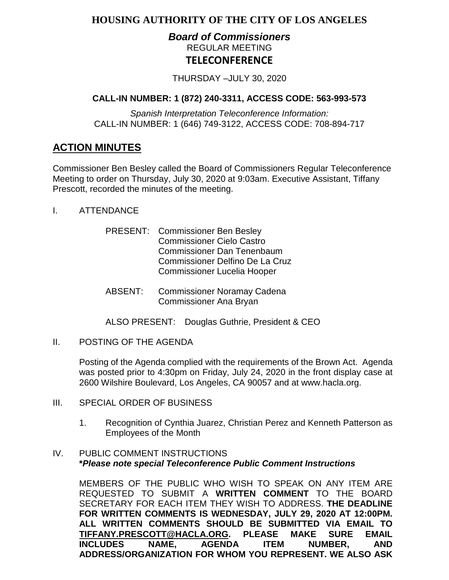# **HOUSING AUTHORITY OF THE CITY OF LOS ANGELES**

# *Board of Commissioners* REGULAR MEETING **TELECONFERENCE**

THURSDAY –JULY 30, 2020

# **CALL-IN NUMBER: 1 (872) 240-3311, ACCESS CODE: 563-993-573**

*Spanish Interpretation Teleconference Information:* CALL-IN NUMBER: 1 (646) 749-3122, ACCESS CODE: 708-894-717

# **ACTION MINUTES**

Commissioner Ben Besley called the Board of Commissioners Regular Teleconference Meeting to order on Thursday, July 30, 2020 at 9:03am. Executive Assistant, Tiffany Prescott, recorded the minutes of the meeting.

- I. ATTENDANCE
	- PRESENT: Commissioner Ben Besley Commissioner Cielo Castro Commissioner Dan Tenenbaum Commissioner Delfino De La Cruz Commissioner Lucelia Hooper
	- ABSENT: Commissioner Noramay Cadena Commissioner Ana Bryan
	- ALSO PRESENT: Douglas Guthrie, President & CEO
- II. POSTING OF THE AGENDA

Posting of the Agenda complied with the requirements of the Brown Act. Agenda was posted prior to 4:30pm on Friday, July 24, 2020 in the front display case at 2600 Wilshire Boulevard, Los Angeles, CA 90057 and at [www.hacla.org.](http://www.hacla.org/)

- III. SPECIAL ORDER OF BUSINESS
	- 1. Recognition of Cynthia Juarez, Christian Perez and Kenneth Patterson as Employees of the Month

#### IV. PUBLIC COMMENT INSTRUCTIONS **\****Please note special Teleconference Public Comment Instructions*

MEMBERS OF THE PUBLIC WHO WISH TO SPEAK ON ANY ITEM ARE REQUESTED TO SUBMIT A **WRITTEN COMMENT** TO THE BOARD SECRETARY FOR EACH ITEM THEY WISH TO ADDRESS. **THE DEADLINE FOR WRITTEN COMMENTS IS WEDNESDAY, JULY 29, 2020 AT 12:00PM. ALL WRITTEN COMMENTS SHOULD BE SUBMITTED VIA EMAIL TO [TIFFANY.PRESCOTT@HACLA.ORG.](mailto:TIFFANY.PRESCOTT@HACLA.ORG) PLEASE MAKE SURE EMAIL INCLUDE AGENDA ADDRESS/ORGANIZATION FOR WHOM YOU REPRESENT. WE ALSO ASK**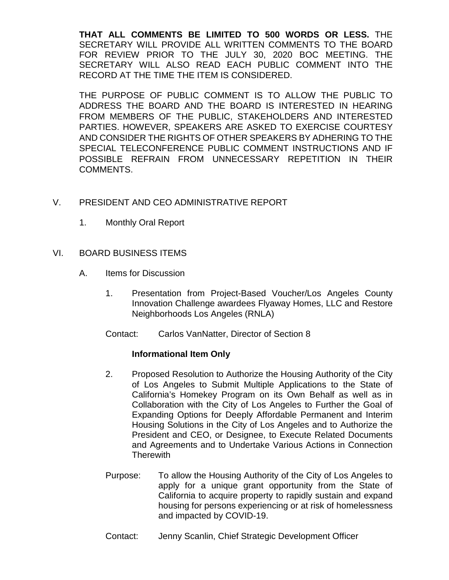**THAT ALL COMMENTS BE LIMITED TO 500 WORDS OR LESS.** THE SECRETARY WILL PROVIDE ALL WRITTEN COMMENTS TO THE BOARD FOR REVIEW PRIOR TO THE JULY 30, 2020 BOC MEETING. THE SECRETARY WILL ALSO READ EACH PUBLIC COMMENT INTO THE RECORD AT THE TIME THE ITEM IS CONSIDERED.

THE PURPOSE OF PUBLIC COMMENT IS TO ALLOW THE PUBLIC TO ADDRESS THE BOARD AND THE BOARD IS INTERESTED IN HEARING FROM MEMBERS OF THE PUBLIC, STAKEHOLDERS AND INTERESTED PARTIES. HOWEVER, SPEAKERS ARE ASKED TO EXERCISE COURTESY AND CONSIDER THE RIGHTS OF OTHER SPEAKERS BY ADHERING TO THE SPECIAL TELECONFERENCE PUBLIC COMMENT INSTRUCTIONS AND IF POSSIBLE REFRAIN FROM UNNECESSARY REPETITION IN THEIR COMMENTS.

# V. PRESIDENT AND CEO ADMINISTRATIVE REPORT

1. Monthly Oral Report

# VI. BOARD BUSINESS ITEMS

- A. Items for Discussion
	- 1. Presentation from Project-Based Voucher/Los Angeles County Innovation Challenge awardees Flyaway Homes, LLC and Restore Neighborhoods Los Angeles (RNLA)
	- Contact: Carlos VanNatter, Director of Section 8

#### **Informational Item Only**

- 2. Proposed Resolution to Authorize the Housing Authority of the City of Los Angeles to Submit Multiple Applications to the State of California's Homekey Program on its Own Behalf as well as in Collaboration with the City of Los Angeles to Further the Goal of Expanding Options for Deeply Affordable Permanent and Interim Housing Solutions in the City of Los Angeles and to Authorize the President and CEO, or Designee, to Execute Related Documents and Agreements and to Undertake Various Actions in Connection **Therewith**
- Purpose: To allow the Housing Authority of the City of Los Angeles to apply for a unique grant opportunity from the State of California to acquire property to rapidly sustain and expand housing for persons experiencing or at risk of homelessness and impacted by COVID-19.
- Contact: Jenny Scanlin, Chief Strategic Development Officer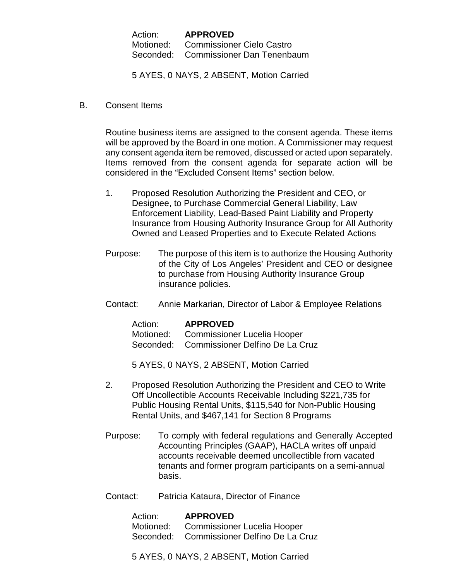Action: **APPROVED** Motioned: Commissioner Cielo Castro Seconded: Commissioner Dan Tenenbaum

5 AYES, 0 NAYS, 2 ABSENT, Motion Carried

B. Consent Items

Routine business items are assigned to the consent agenda. These items will be approved by the Board in one motion. A Commissioner may request any consent agenda item be removed, discussed or acted upon separately. Items removed from the consent agenda for separate action will be considered in the "Excluded Consent Items" section below.

- 1. Proposed Resolution Authorizing the President and CEO, or Designee, to Purchase Commercial General Liability, Law Enforcement Liability, Lead-Based Paint Liability and Property Insurance from Housing Authority Insurance Group for All Authority Owned and Leased Properties and to Execute Related Actions
- Purpose: The purpose of this item is to authorize the Housing Authority of the City of Los Angeles' President and CEO or designee to purchase from Housing Authority Insurance Group insurance policies.
- Contact: Annie Markarian, Director of Labor & Employee Relations

Action: **APPROVED** Motioned: Commissioner Lucelia Hooper Seconded: Commissioner Delfino De La Cruz

5 AYES, 0 NAYS, 2 ABSENT, Motion Carried

- 2. Proposed Resolution Authorizing the President and CEO to Write Off Uncollectible Accounts Receivable Including \$221,735 for Public Housing Rental Units, \$115,540 for Non-Public Housing Rental Units, and \$467,141 for Section 8 Programs
- Purpose: To comply with federal regulations and Generally Accepted Accounting Principles (GAAP), HACLA writes off unpaid accounts receivable deemed uncollectible from vacated tenants and former program participants on a semi-annual basis.
- Contact: Patricia Kataura, Director of Finance

Action: **APPROVED** Motioned: Commissioner Lucelia Hooper Seconded: Commissioner Delfino De La Cruz

5 AYES, 0 NAYS, 2 ABSENT, Motion Carried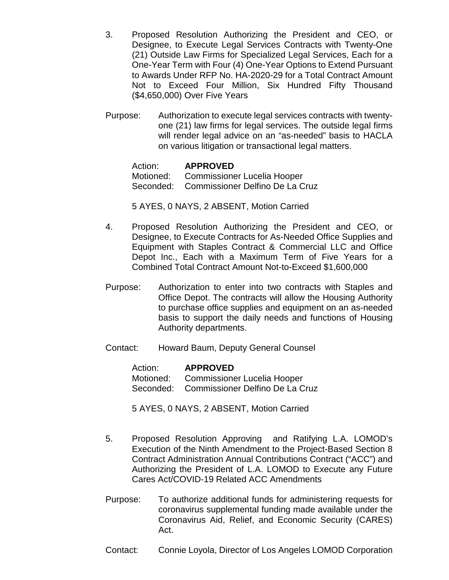- 3. Proposed Resolution Authorizing the President and CEO, or Designee, to Execute Legal Services Contracts with Twenty-One (21) Outside Law Firms for Specialized Legal Services, Each for a One-Year Term with Four (4) One-Year Options to Extend Pursuant to Awards Under RFP No. HA-2020-29 for a Total Contract Amount Not to Exceed Four Million, Six Hundred Fifty Thousand (\$4,650,000) Over Five Years
- Purpose: Authorization to execute legal services contracts with twentyone (21) law firms for legal services. The outside legal firms will render legal advice on an "as-needed" basis to HACLA on various litigation or transactional legal matters.

Action: **APPROVED** Motioned: Commissioner Lucelia Hooper Seconded: Commissioner Delfino De La Cruz

5 AYES, 0 NAYS, 2 ABSENT, Motion Carried

- 4. Proposed Resolution Authorizing the President and CEO, or Designee, to Execute Contracts for As-Needed Office Supplies and Equipment with Staples Contract & Commercial LLC and Office Depot Inc., Each with a Maximum Term of Five Years for a Combined Total Contract Amount Not-to-Exceed \$1,600,000
- Purpose: Authorization to enter into two contracts with Staples and Office Depot. The contracts will allow the Housing Authority to purchase office supplies and equipment on an as-needed basis to support the daily needs and functions of Housing Authority departments.
- Contact: Howard Baum, Deputy General Counsel

Action: **APPROVED** Motioned: Commissioner Lucelia Hooper Seconded: Commissioner Delfino De La Cruz

5 AYES, 0 NAYS, 2 ABSENT, Motion Carried

- 5. Proposed Resolution Approving and Ratifying L.A. LOMOD's Execution of the Ninth Amendment to the Project-Based Section 8 Contract Administration Annual Contributions Contract ("ACC") and Authorizing the President of L.A. LOMOD to Execute any Future Cares Act/COVID-19 Related ACC Amendments
- Purpose: To authorize additional funds for administering requests for coronavirus supplemental funding made available under the Coronavirus Aid, Relief, and Economic Security (CARES) Act.
- Contact: Connie Loyola, Director of Los Angeles LOMOD Corporation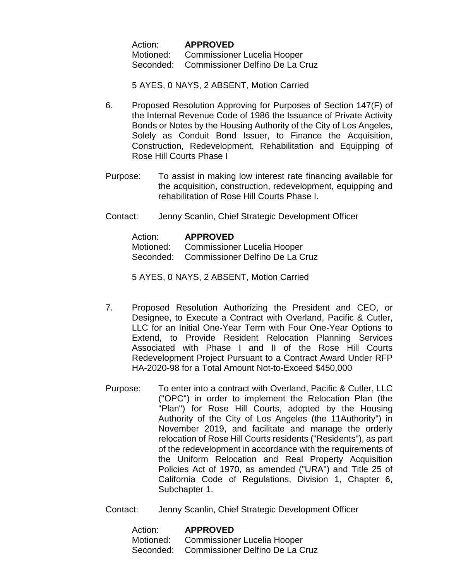Action: **APPROVED** Motioned: Commissioner Lucelia Hooper Seconded: Commissioner Delfino De La Cruz

5 AYES, 0 NAYS, 2 ABSENT, Motion Carried

- 6. Proposed Resolution Approving for Purposes of Section 147(F) of the Internal Revenue Code of 1986 the Issuance of Private Activity Bonds or Notes by the Housing Authority of the City of Los Angeles, Solely as Conduit Bond Issuer, to Finance the Acquisition, Construction, Redevelopment, Rehabilitation and Equipping of Rose Hill Courts Phase I
- Purpose: To assist in making low interest rate financing available for the acquisition, construction, redevelopment, equipping and rehabilitation of Rose Hill Courts Phase I.
- Contact: Jenny Scanlin, Chief Strategic Development Officer

| Action: | <b>APPROVED</b>                           |
|---------|-------------------------------------------|
|         | Motioned: Commissioner Lucelia Hooper     |
|         | Seconded: Commissioner Delfino De La Cruz |

5 AYES, 0 NAYS, 2 ABSENT, Motion Carried

- 7. Proposed Resolution Authorizing the President and CEO, or Designee, to Execute a Contract with Overland, Pacific & Cutler, LLC for an Initial One-Year Term with Four One-Year Options to Extend, to Provide Resident Relocation Planning Services Associated with Phase I and II of the Rose Hill Courts Redevelopment Project Pursuant to a Contract Award Under RFP HA-2020-98 for a Total Amount Not-to-Exceed \$450,000
- Purpose: To enter into a contract with Overland, Pacific & Cutler, LLC ("OPC") in order to implement the Relocation Plan (the "Plan") for Rose Hill Courts, adopted by the Housing Authority of the City of Los Angeles (the 11Authority") in November 2019, and facilitate and manage the orderly relocation of Rose Hill Courts residents ("Residents"), as part of the redevelopment in accordance with the requirements of the Uniform Relocation and Real Property Acquisition Policies Act of 1970, as amended ("URA") and Title 25 of California Code of Regulations, Division 1, Chapter 6, Subchapter 1.
- Contact: Jenny Scanlin, Chief Strategic Development Officer

Action: **APPROVED** Motioned: Commissioner Lucelia Hooper Seconded: Commissioner Delfino De La Cruz